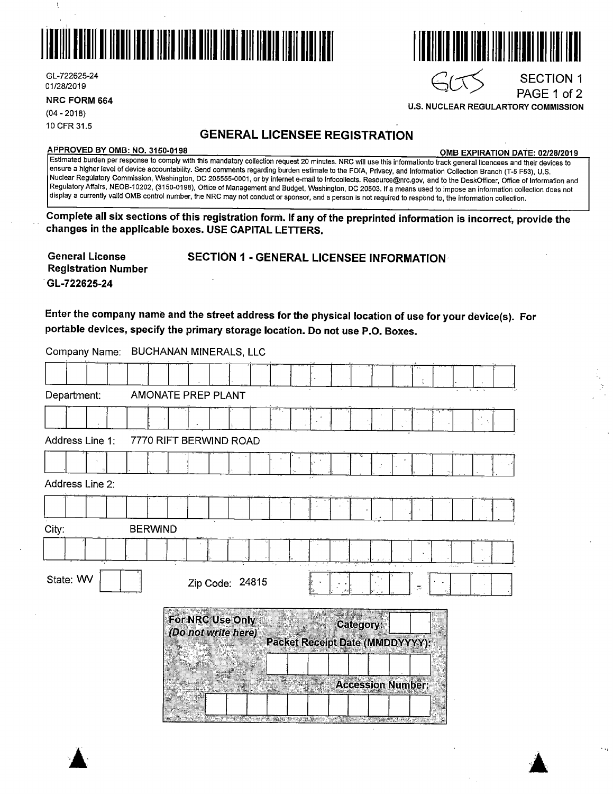

GL-722625-24 GL-722625-24<br>01/28/2019 SECTION 1

 $\mathbf{I}$ 

PAGE 1 of 2 **NRC FORM 664** 

(04 - 2018) 10 CFR 31.5

## **GENERAL LICENSEE REGISTRATION**

**APPROVED BY 0MB: NO. 3150-0198 0MB EXPIRATION DATE: 02/28/2019** 

**U.S. NUCLEAR REGULARTORY COMMISSION** 

Estimated burden per response to comply with this mandatory collection request 20 minutes. NRC will use this informationto track general licencees and their devices to ensure a higher level of device accountability. Send comments regarding burden estimate to the FOIA, Privacy, and Information Collection Branch (T-5 F53), U.S. Nuclear Regulatory Commission, Washington, DC 205555-0001, or by internet e-mail to lnfocollects. Resource@nrc.gov, and to the DeskOfficer, Office of Information and Regulatory Affairs, NEOB-10202, (3150-0198), Office of Management and Budget, Washington, DC 20503. If a means used to impose an information collection does not display a currently valid 0MB control number, the NRC may not conduct or sponsor, and a person is not required to respond to, the information collection.

**Complete all six sections of this registration form. If any of the preprinted information is incorrect, provide the changes in the applicable boxes. USE CAPITAL LETTERS.** 

| <b>General License</b><br><b>Registration Number</b> | SECTION 1 - GENERAL LICENSEE INFORMATION |
|------------------------------------------------------|------------------------------------------|
| GL-722625-24                                         |                                          |

**Enter the company name and the street address for the physical location of use for your device(s). For portable devices, specify the primary storage location. Do not use P.O. Boxes.** 

Company Name: BUCHANAN MINERALS, LLC

| Department:     |                | AMONATE PREP PLANT                      |  |  |                                 |                                       |   |                          |  |  |
|-----------------|----------------|-----------------------------------------|--|--|---------------------------------|---------------------------------------|---|--------------------------|--|--|
|                 |                |                                         |  |  |                                 |                                       |   |                          |  |  |
| Address Line 1: |                | 7770 RIFT BERWIND ROAD                  |  |  |                                 |                                       |   |                          |  |  |
|                 |                |                                         |  |  |                                 |                                       | J |                          |  |  |
| Address Line 2: |                |                                         |  |  |                                 |                                       |   |                          |  |  |
|                 |                |                                         |  |  |                                 |                                       |   |                          |  |  |
| City:           | <b>BERWIND</b> |                                         |  |  |                                 |                                       |   |                          |  |  |
|                 |                |                                         |  |  |                                 |                                       |   |                          |  |  |
| State: WV       |                | Zip Code: 24815                         |  |  |                                 |                                       |   | $\overline{\mathcal{N}}$ |  |  |
|                 |                | For NRC Use Only<br>(Do not write here) |  |  | Packet Receipt Date (MMDDYYYY): | Category;<br><b>Accession Number:</b> |   |                          |  |  |



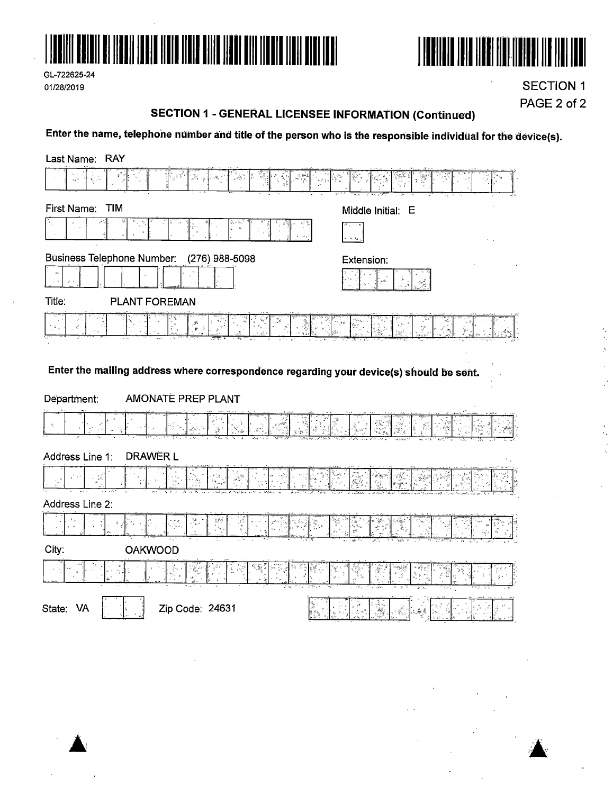

GL-722625-24 01/28/2019



**SECTION 1** PAGE 2 of 2

> $\frac{1}{2}$  $\bar{\mathcal{P}}$

> > $\ddot{\cdot}$

k,  $\ddot{\phantom{a}}$ 

#### **SECTION 1 - GENERAL LICENSEE INFORMATION (Continued)**

Enter the name, telephone number and title of the person who is the responsible individual for the device(s).

| Last Name: RAY                                                                                                               |                                          |
|------------------------------------------------------------------------------------------------------------------------------|------------------------------------------|
| V).<br>M<br>길래<br>25 y<br>$\frac{1}{2}$                                                                                      |                                          |
| <b>TIM</b><br>First Name:                                                                                                    | Middle Initial: E                        |
| $\sim$ $\mu$                                                                                                                 | $\sigma_{\rm s} \, \hat{\sigma}_{\rm g}$ |
| <b>Business Telephone Number:</b><br>(276) 988-5098                                                                          | Extension:                               |
| Title:<br><b>PLANT FOREMAN</b>                                                                                               |                                          |
| 壁<br>8°                                                                                                                      | Y                                        |
| Enter the mailing address where correspondence regarding your device(s) should be sent.<br>AMONATE PREP PLANT<br>Department: |                                          |
|                                                                                                                              |                                          |
| Address Line 1:<br>DRAWER L                                                                                                  |                                          |
| $\epsilon$                                                                                                                   |                                          |
| Address Line 2:                                                                                                              |                                          |
|                                                                                                                              | $\widetilde{\mathcal{N}}_{\mathcal{R}}$  |
| City:<br><b>OAKWOOD</b>                                                                                                      |                                          |
|                                                                                                                              |                                          |
| State:<br>Zip Code: 24631<br><b>VA</b>                                                                                       |                                          |

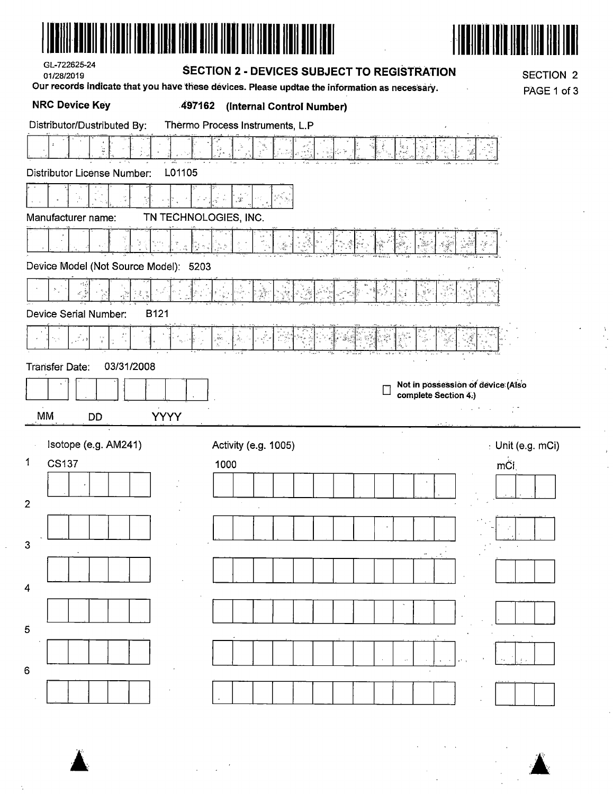| GL-722625-24<br>01/28/2019            | <b>SECTION 2 - DEVICES SUBJECT TO REGISTRATION</b>                                                                         | <b>SECTION 2</b>                                          |
|---------------------------------------|----------------------------------------------------------------------------------------------------------------------------|-----------------------------------------------------------|
| <b>NRC Device Key</b><br>497162       | Our records indicate that you have these devices. Please updtae the information as necessary.<br>(Internal Control Number) | PAGE 1 of 3                                               |
| Distributor/Dustributed By:           | Thermo Process Instruments, L.P                                                                                            |                                                           |
|                                       |                                                                                                                            |                                                           |
| L01105<br>Distributor License Number: |                                                                                                                            |                                                           |
|                                       |                                                                                                                            |                                                           |
| Manufacturer name:                    | TN TECHNOLOGIES, INC.                                                                                                      |                                                           |
| P                                     | ್                                                                                                                          |                                                           |
| Device Model (Not Source Model): 5203 |                                                                                                                            |                                                           |
|                                       |                                                                                                                            |                                                           |
| Device Serial Number:<br><b>B121</b>  |                                                                                                                            |                                                           |
| $\frac{1}{2}$ , $\frac{1}{2}$         | $\mathcal{R}^{\mathbf{L}}$ :                                                                                               |                                                           |
| 03/31/2008<br>Transfer Date:          |                                                                                                                            |                                                           |
|                                       |                                                                                                                            | Not in possession of device (Also<br>complete Section 4.) |
| MM<br><b>YYYY</b><br>DĎ               |                                                                                                                            |                                                           |
| Isotope (e.g. AM241)                  | Activity (e.g. 1005)                                                                                                       | $\pm$ Unit (e.g. mCi)                                     |
| 1<br><b>CS137</b>                     | 1000                                                                                                                       | mĆi                                                       |
|                                       |                                                                                                                            |                                                           |
| 2                                     |                                                                                                                            |                                                           |
| 3                                     |                                                                                                                            |                                                           |
|                                       |                                                                                                                            |                                                           |
| 4                                     |                                                                                                                            |                                                           |
|                                       |                                                                                                                            |                                                           |
| 5                                     |                                                                                                                            |                                                           |
|                                       |                                                                                                                            |                                                           |
| 6                                     |                                                                                                                            |                                                           |
|                                       |                                                                                                                            |                                                           |

 $\sim 10^{-1}$  .

 $\bar{z}$ 

 $\ddot{\phantom{a}}$ 

 $\mathbf{A}$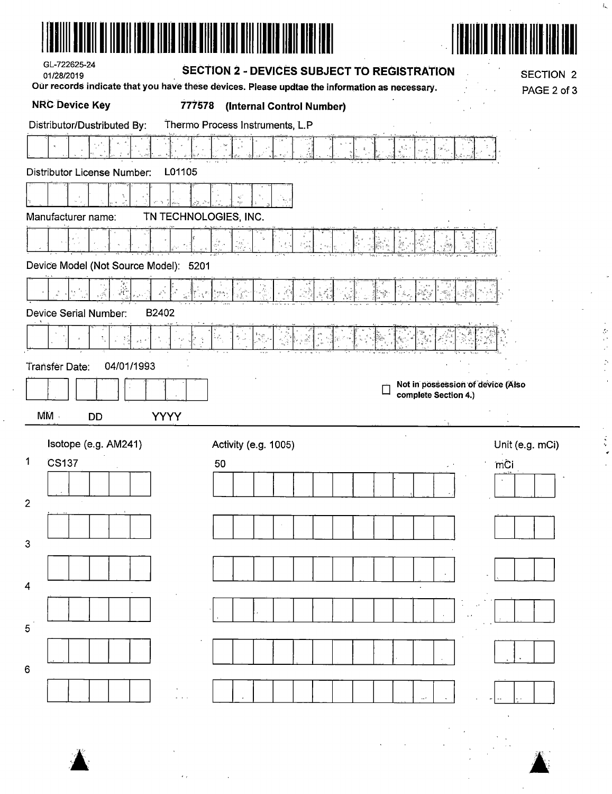| GL-722625-24<br>01/28/2019                    | SECTION 2 - DEVICES SUBJECT TO REGISTRATION                                                                                          |                                                           | <b>SECTION 2</b> |
|-----------------------------------------------|--------------------------------------------------------------------------------------------------------------------------------------|-----------------------------------------------------------|------------------|
| <b>NRC Device Key</b>                         | Our records indicate that you have these devices. Please updtae the information as necessary.<br>777578<br>(Internal Control Number) |                                                           | PAGE 2 of 3      |
| Distributor/Dustributed By:                   | Thermo Process Instruments, L.P                                                                                                      |                                                           |                  |
|                                               |                                                                                                                                      | 3.                                                        |                  |
| Distributor License Number:                   | L01105                                                                                                                               |                                                           |                  |
|                                               | ri<br>Se                                                                                                                             |                                                           |                  |
| Manufacturer name:                            | TN TECHNOLOGIES, INC.                                                                                                                |                                                           |                  |
|                                               | 4                                                                                                                                    |                                                           |                  |
| Device Model (Not Source Model): 5201         |                                                                                                                                      |                                                           |                  |
| للأنو                                         |                                                                                                                                      |                                                           |                  |
| B2402<br><b>Device Serial Number:</b>         |                                                                                                                                      |                                                           |                  |
|                                               |                                                                                                                                      |                                                           |                  |
| 04/01/1993<br><b>Transfer Date:</b>           |                                                                                                                                      |                                                           |                  |
|                                               |                                                                                                                                      | Not in possession of device (Also<br>complete Section 4.) |                  |
|                                               |                                                                                                                                      |                                                           |                  |
| $\overline{MM}$ .<br><b>YYYY</b><br><b>DD</b> |                                                                                                                                      |                                                           |                  |
| Isotope (e.g. AM241)                          | Activity (e.g. 1005)                                                                                                                 |                                                           | Unit (e.g. mCi)  |
| 1<br><b>CS137</b>                             | 50                                                                                                                                   |                                                           | mCi              |
|                                               |                                                                                                                                      |                                                           |                  |
| 2                                             |                                                                                                                                      |                                                           |                  |
| 3                                             |                                                                                                                                      |                                                           |                  |
|                                               |                                                                                                                                      |                                                           |                  |
| 4                                             |                                                                                                                                      |                                                           |                  |
|                                               |                                                                                                                                      |                                                           |                  |
| 5                                             |                                                                                                                                      |                                                           |                  |
|                                               |                                                                                                                                      |                                                           |                  |
| 6                                             |                                                                                                                                      |                                                           |                  |
|                                               |                                                                                                                                      |                                                           |                  |
|                                               |                                                                                                                                      |                                                           |                  |
|                                               |                                                                                                                                      |                                                           |                  |
|                                               |                                                                                                                                      |                                                           |                  |

 $\blacktriangle$ 

 $\sim$ 

 $\ddot{\phantom{0}}$ 

 $\mathcal{L}_{\mathcal{F}}$  and  $\mathcal{L}_{\mathcal{F}}$  . In the  $\mathcal{L}_{\mathcal{F}}$ 

 $\blacktriangle$ 

 $\ddot{\phantom{a}}$ 

 $\mathbf{k}$ 

 $\omega$ 

一卷八十 五十二

 $\alpha$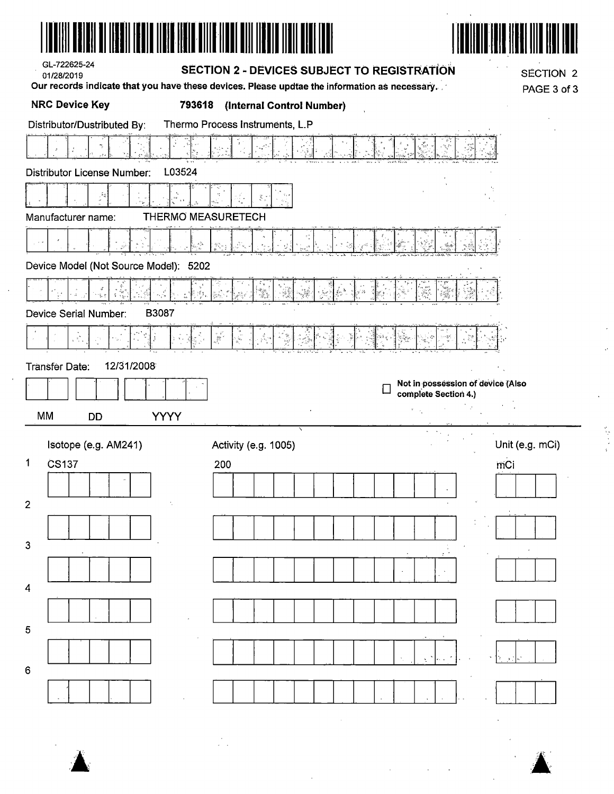| GL-722625-24<br>01/28/2019                   | <b>SECTION 2 - DEVICES SUBJECT TO REGISTRATION</b><br>Our records indicate that you have these devices. Please updtae the information as necessary. | <b>SECTION 2</b><br>PAGE 3 of 3                           |
|----------------------------------------------|-----------------------------------------------------------------------------------------------------------------------------------------------------|-----------------------------------------------------------|
| <b>NRC Device Key</b>                        | 793618<br>(Internal Control Number)                                                                                                                 |                                                           |
| Distributor/Dustributed By:                  | Thermo Process Instruments, L.P                                                                                                                     |                                                           |
|                                              | ÷.                                                                                                                                                  |                                                           |
| L03524<br><b>Distributor License Number:</b> |                                                                                                                                                     |                                                           |
|                                              | š                                                                                                                                                   |                                                           |
| Manufacturer name:                           | THERMO MEASURETECH                                                                                                                                  |                                                           |
|                                              |                                                                                                                                                     |                                                           |
| Device Model (Not Source Model): 5202        |                                                                                                                                                     |                                                           |
|                                              | n ev<br>Føyt                                                                                                                                        |                                                           |
| ă<br>B3087<br>Device Serial Number:          |                                                                                                                                                     |                                                           |
|                                              |                                                                                                                                                     |                                                           |
|                                              |                                                                                                                                                     |                                                           |
|                                              | j.<br>e.<br>S                                                                                                                                       |                                                           |
| 12/31/2008<br><b>Transfer Date:</b>          |                                                                                                                                                     |                                                           |
|                                              | $\Box$                                                                                                                                              | Not in possession of device (Also<br>complete Section 4.) |
| <b>MM</b><br><b>YYYY</b><br><b>DD</b>        |                                                                                                                                                     | $\mathbf{e} = \mathbf{e}_1, \ldots, \mathbf{e}_n$ .       |
| Isotope (e.g. AM241)                         | Activity (e.g. 1005)                                                                                                                                | Unit (e.g. mCi)                                           |
| $\mathbf{1}$<br><b>CS137</b>                 | 200                                                                                                                                                 | mCi                                                       |
|                                              |                                                                                                                                                     |                                                           |
|                                              |                                                                                                                                                     |                                                           |
|                                              |                                                                                                                                                     |                                                           |
|                                              |                                                                                                                                                     |                                                           |
| $\overline{2}$<br>$\mathbf 3$                |                                                                                                                                                     | $\sim$                                                    |
| $\overline{4}$                               |                                                                                                                                                     |                                                           |
| 5                                            |                                                                                                                                                     |                                                           |
|                                              |                                                                                                                                                     |                                                           |

 $\hat{\vec{r}}$ 

 $\frac{1}{2}$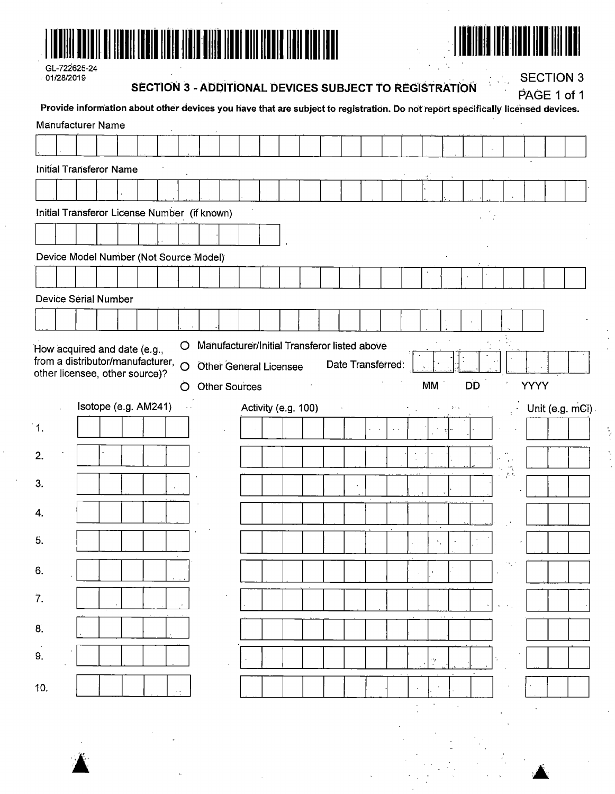

| GL-722625-24  |
|---------------|
| $+01/28/2019$ |

**SECTION 3 - ADDITIONAL DEVICES SUBJECT TO REGISTRATION** 

**SECTION 3** 

ř,

|               |                                                                    |  |  |                | SECTION 3 - ADDITIONAL DEVICES SUBJECT TO REGISTRATION<br>Provide information about other devices you have that are subject to registration. Do not report specifically licensed devices. |  |  |                     |                   |        |  |              |           |                  |      | PAGE 1 of 1    |
|---------------|--------------------------------------------------------------------|--|--|----------------|-------------------------------------------------------------------------------------------------------------------------------------------------------------------------------------------|--|--|---------------------|-------------------|--------|--|--------------|-----------|------------------|------|----------------|
|               | <b>Manufacturer Name</b>                                           |  |  |                |                                                                                                                                                                                           |  |  |                     |                   |        |  |              |           |                  |      |                |
|               |                                                                    |  |  |                |                                                                                                                                                                                           |  |  |                     |                   |        |  |              |           |                  |      |                |
|               | <b>Initial Transferor Name</b>                                     |  |  |                |                                                                                                                                                                                           |  |  |                     |                   |        |  |              |           |                  |      |                |
|               |                                                                    |  |  |                |                                                                                                                                                                                           |  |  |                     |                   |        |  |              |           |                  |      |                |
|               |                                                                    |  |  |                | Initial Transferor License Number (if known)                                                                                                                                              |  |  |                     |                   |        |  |              |           |                  |      |                |
|               |                                                                    |  |  |                |                                                                                                                                                                                           |  |  |                     |                   |        |  |              |           |                  |      |                |
|               |                                                                    |  |  |                | Device Model Number (Not Source Model)                                                                                                                                                    |  |  |                     |                   |        |  |              |           |                  |      |                |
|               |                                                                    |  |  |                |                                                                                                                                                                                           |  |  |                     |                   |        |  |              |           |                  |      |                |
|               | Device Serial Number                                               |  |  |                |                                                                                                                                                                                           |  |  |                     |                   |        |  |              |           |                  |      |                |
|               |                                                                    |  |  |                |                                                                                                                                                                                           |  |  |                     |                   |        |  |              |           |                  |      |                |
|               | How acquired and date (e.g.,                                       |  |  | $\circ$        | Manufacturer/Initial Transferor listed above                                                                                                                                              |  |  |                     |                   |        |  |              |           |                  |      |                |
|               | from a distributor/manufacturer,<br>other licensee, other source)? |  |  | $\overline{O}$ | <b>Other General Licensee</b>                                                                                                                                                             |  |  |                     | Date Transferred: |        |  |              |           |                  |      |                |
|               |                                                                    |  |  | O              | <b>Other Sources</b>                                                                                                                                                                      |  |  |                     |                   |        |  | MM           | <b>DD</b> |                  | YYYY |                |
|               | Isotope (e.g. AM241)                                               |  |  |                |                                                                                                                                                                                           |  |  | Activity (e.g. 100) |                   |        |  |              |           |                  |      | Unit (e.g. mCi |
| $\mathbf 1$ . |                                                                    |  |  |                |                                                                                                                                                                                           |  |  |                     |                   | $\sim$ |  |              |           |                  |      |                |
| 2.            |                                                                    |  |  |                |                                                                                                                                                                                           |  |  |                     |                   |        |  |              |           |                  |      |                |
| 3.            |                                                                    |  |  |                |                                                                                                                                                                                           |  |  |                     |                   |        |  |              |           | $\eta_{\rm c}$ . |      |                |
| 4.            |                                                                    |  |  |                |                                                                                                                                                                                           |  |  |                     |                   |        |  |              |           |                  |      |                |
|               |                                                                    |  |  |                |                                                                                                                                                                                           |  |  |                     |                   |        |  |              |           |                  |      |                |
| 5,            |                                                                    |  |  |                |                                                                                                                                                                                           |  |  |                     |                   |        |  | ٠,           |           |                  |      |                |
| 6.            |                                                                    |  |  |                |                                                                                                                                                                                           |  |  |                     |                   |        |  |              |           |                  |      |                |
| 7.            |                                                                    |  |  |                |                                                                                                                                                                                           |  |  |                     |                   |        |  |              |           |                  |      |                |
| 8.            |                                                                    |  |  |                |                                                                                                                                                                                           |  |  |                     |                   |        |  |              |           |                  |      |                |
|               |                                                                    |  |  |                |                                                                                                                                                                                           |  |  |                     |                   |        |  |              |           |                  |      |                |
| 9.            |                                                                    |  |  |                |                                                                                                                                                                                           |  |  |                     |                   |        |  | Ņ.           |           |                  |      |                |
| 10.           |                                                                    |  |  |                |                                                                                                                                                                                           |  |  |                     |                   |        |  |              |           |                  |      |                |
|               |                                                                    |  |  |                |                                                                                                                                                                                           |  |  |                     |                   |        |  | $\mathbf{v}$ |           |                  |      |                |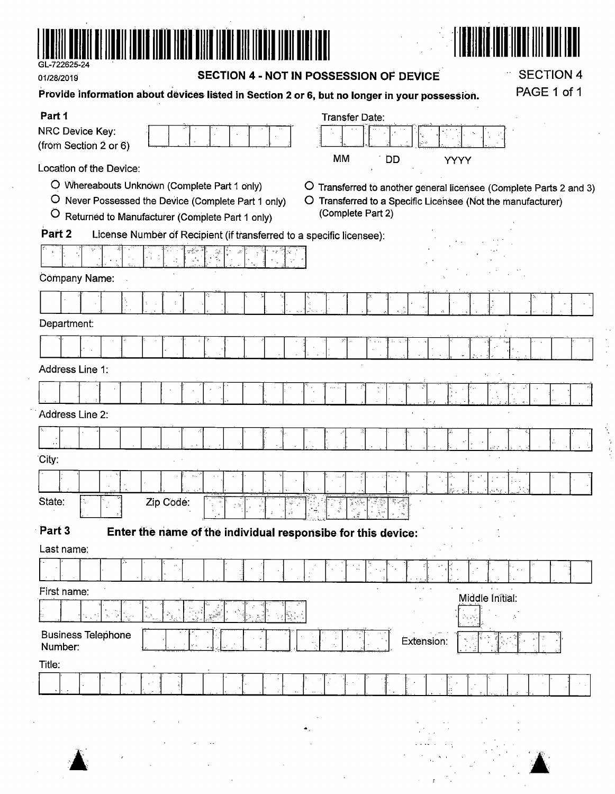

01/28/2019

SECTION 4 - NOT IN POSSESSION OF DEVICE

# PAGE 1 of 1 Provide information about devices listed in Section 2 or 6, but no longer in your possession. Part 1 Transfer Date: **NRC Device Key:** (from Section 2 or 6) **MM** DD **YYYY** Location of the Device: O Whereabouts Unknown (Complete Part 1 only) O Transferred to another general licensee (Complete Parts 2 and 3) O Never Possessed the Device (Complete Part 1 only) O Transferred to a Specific Licensee (Not the manufacturer) (Complete Part 2) O Returned to Manufacturer (Complete Part 1 only) License Number of Recipient (if transferred to a specific licensee): Part 2 Ž Cômpany Name: Department: Address Line 1: Address Line 2: City: State: Zip Code: Part 3 Enter the name of the individual responsibe for this device: Last name: First name: Middle Initial: **Business Telephone** Extension: Number: Title:





**SECTION 4**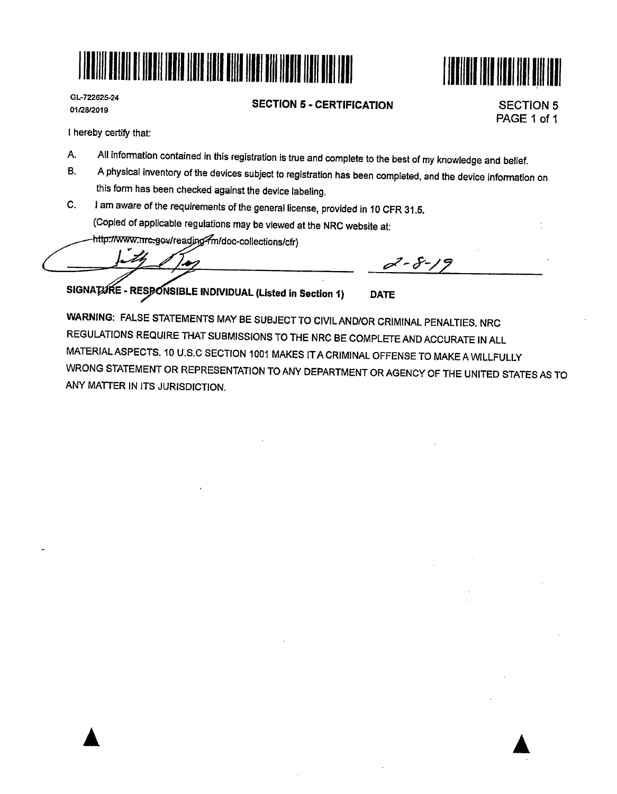



GL-722625-24 01/28/2019

**SECTION 5** - **CERTIFICATION** 

SECTION 5 PAGE 1 of 1

I hereby certify that:

A. All information contained in this registration is true and complete to the best of my knowledge and belief.<br>B. A physical inventory of the dovices subject to registeries has been assessed as a second to the set of the

- B. A physical inventory of the devices subject to registration has been completed, and the device information on this form has been checked against the device labeling.
- C. I am aware of the requirements of the general license, provided in 10 CFR 31.5. (Copied of applicable regulations may be viewed at the NRC website at:
	- http://www.nrc.gov/readjng/m/doc-collections/cfr)

SIGNATURE - RESPONSIBLE INDIVIDUAL (Listed in Section 1)

**WARNING:** FALSE STATEMENTS MAY BE SUBJECT TO CIVIL AND/OR CRIMINAL PENALTIES. NRC REGULATIONS REQUIRE THAT SUBMISSIONS TO THE NRC BE COMPLETE AND ACCURATE IN ALL MATERIAL ASPECTS. 10 U.S.C SECTION 1001 MAKES IT A CRIMINAL OFFENSE TO MAKE A WILLFULLY WRONG STATEMENT OR REPRESENTATION TO ANY DEPARTMENT OR AGENCY OF THE UNITED STATES AS TO ANY MATTER IN ITS JURISDICTION.

**DATE** 

 $2 - 8 - 19$